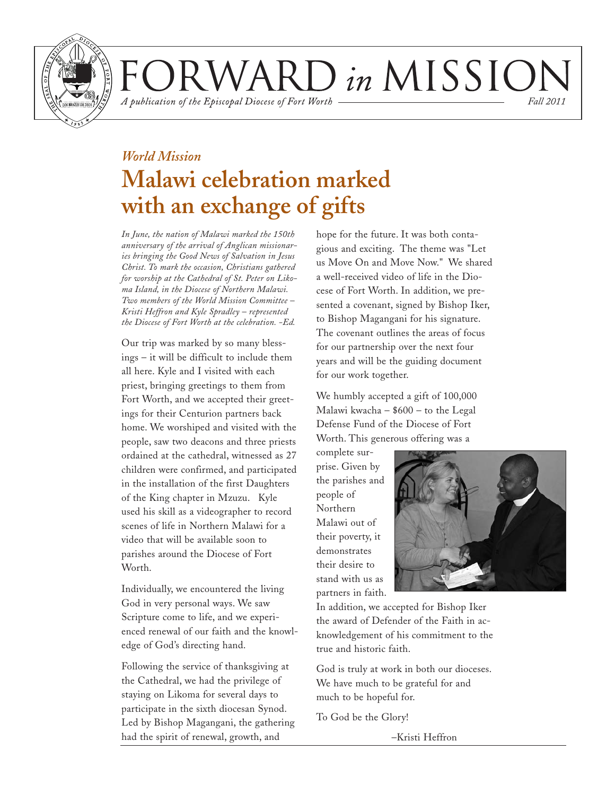

VARD in MISSION *Fall 2011*

A publication of the Episcopal Diocese of Fort Worth

*World Mission* **Malawi celebration marked with an exchange of gifts**

*In June, the nation of Malawi marked the 150th anniversary of the arrival of Anglican missionaries bringing the Good News of Salvation in Jesus Christ. To mark the occasion, Christians gathered for worship at the Cathedral of St. Peter on Likoma Island, in the Diocese of Northern Malawi. Two members of the World Mission Committee – Kristi Heffron and Kyle Spradley – represented the Diocese of Fort Worth at the celebration. -Ed.*

Our trip was marked by so many blessings – it will be difficult to include them all here. Kyle and I visited with each priest, bringing greetings to them from Fort Worth, and we accepted their greetings for their Centurion partners back home. We worshiped and visited with the people, saw two deacons and three priests ordained at the cathedral, witnessed as 27 children were confirmed, and participated in the installation of the first Daughters of the King chapter in Mzuzu. Kyle used his skill as a videographer to record scenes of life in Northern Malawi for a video that will be available soon to parishes around the Diocese of Fort Worth.

Individually, we encountered the living God in very personal ways. We saw Scripture come to life, and we experienced renewal of our faith and the knowledge of God's directing hand.

Following the service of thanksgiving at the Cathedral, we had the privilege of staying on Likoma for several days to participate in the sixth diocesan Synod. Led by Bishop Magangani, the gathering had the spirit of renewal, growth, and

hope for the future. It was both contagious and exciting. The theme was "Let us Move On and Move Now." We shared a well-received video of life in the Diocese of Fort Worth. In addition, we presented a covenant, signed by Bishop Iker, to Bishop Magangani for his signature. The covenant outlines the areas of focus for our partnership over the next four years and will be the guiding document for our work together.

We humbly accepted a gift of 100,000 Malawi kwacha – \$600 – to the Legal Defense Fund of the Diocese of Fort Worth. This generous offering was a

complete surprise. Given by the parishes and people of Northern Malawi out of their poverty, it demonstrates their desire to stand with us as partners in faith.



In addition, we accepted for Bishop Iker the award of Defender of the Faith in acknowledgement of his commitment to the true and historic faith.

God is truly at work in both our dioceses. We have much to be grateful for and much to be hopeful for.

To God be the Glory!

–Kristi Heffron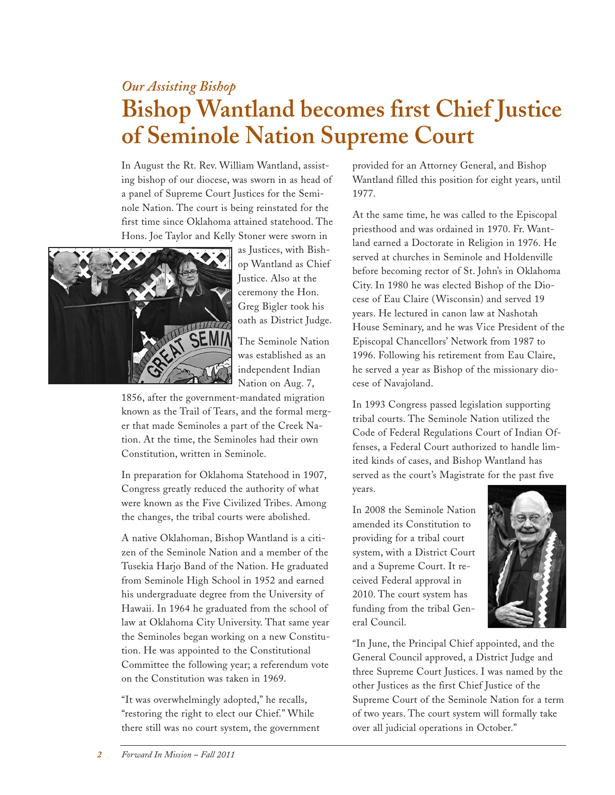## *Our Assisting Bishop* **Bishop Wantland becomes first Chief Justice of Seminole Nation Supreme Court**

In August the Rt. Rev. William Wantland, assisting bishop of our diocese, was sworn in as head of a panel of Supreme Court Justices for the Seminole Nation. The court is being reinstated for the first time since Oklahoma attained statehood. The Hons. Joe Taylor and Kelly Stoner were sworn in



as Justices, with Bishop Wantland as Chief Justice. Also at the ceremony the Hon. Greg Bigler took his oath as District Judge.

The Seminole Nation was established as an independent Indian Nation on Aug. 7,

1856, after the government-mandated migration known as the Trail of Tears, and the formal merger that made Seminoles a part of the Creek Nation. At the time, the Seminoles had their own Constitution, written in Seminole.

In preparation for Oklahoma Statehood in 1907, Congress greatly reduced the authority of what were known as the Five Civilized Tribes. Among the changes, the tribal courts were abolished.

A native Oklahoman, Bishop Wantland is a citizen of the Seminole Nation and a member of the Tusekia Harjo Band of the Nation. He graduated from Seminole High School in 1952 and earned his undergraduate degree from the University of Hawaii. In 1964 he graduated from the school of law at Oklahoma City University. That same year the Seminoles began working on a new Constitution. He was appointed to the Constitutional Committee the following year; a referendum vote on the Constitution was taken in 1969.

"It was overwhelmingly adopted," he recalls, "restoring the right to elect our Chief." While there still was no court system, the government provided for an Attorney General, and Bishop Wantland filled this position for eight years, until 1977.

At the same time, he was called to the Episcopal priesthood and was ordained in 1970. Fr. Wantland earned a Doctorate in Religion in 1976. He served at churches in Seminole and Holdenville before becoming rector of St. John's in Oklahoma City. In 1980 he was elected Bishop of the Diocese of Eau Claire (Wisconsin) and served 19 years. He lectured in canon law at Nashotah House Seminary, and he was Vice President of the Episcopal Chancellors' Network from 1987 to 1996. Following his retirement from Eau Claire, he served a year as Bishop of the missionary diocese of Navajoland.

In 1993 Congress passed legislation supporting tribal courts. The Seminole Nation utilized the Code of Federal Regulations Court of Indian Offenses, a Federal Court authorized to handle limited kinds of cases, and Bishop Wantland has served as the court's Magistrate for the past five years.

In 2008 the Seminole Nation amended its Constitution to providing for a tribal court system, with a District Court and a Supreme Court. It received Federal approval in 2010. The court system has funding from the tribal General Council.



"In June, the Principal Chief appointed, and the General Council approved, a District Judge and three Supreme Court Justices. I was named by the other Justices as the first Chief Justice of the Supreme Court of the Seminole Nation for a term of two years. The court system will formally take over all judicial operations in October."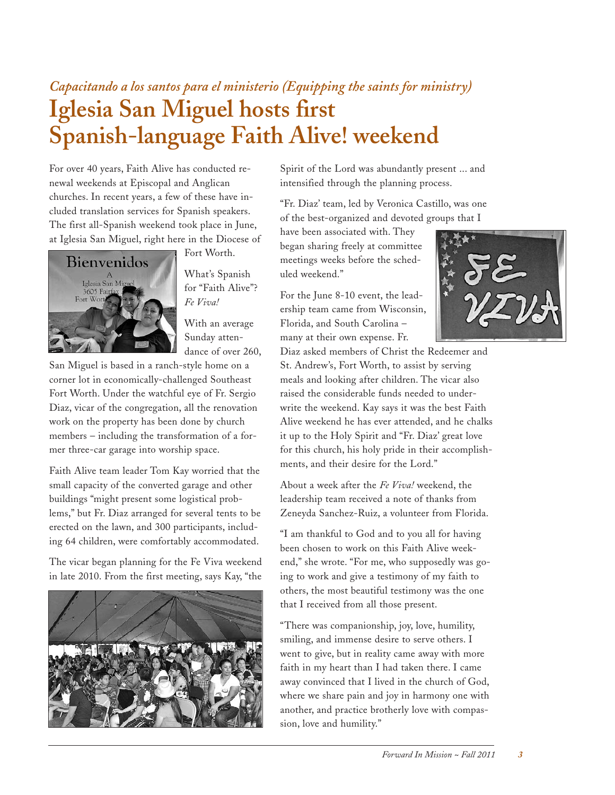## *Capacitando a los santos para el ministerio (Equipping the saints for ministry)* **Iglesia San Miguel hosts first Spanish-language Faith Alive! weekend**

For over 40 years, Faith Alive has conducted renewal weekends at Episcopal and Anglican churches. In recent years, a few of these have included translation services for Spanish speakers. The first all-Spanish weekend took place in June, at Iglesia San Miguel, right here in the Diocese of



Fort Worth.

What's Spanish for "Faith Alive"? *Fe Viva!*

With an average Sunday attendance of over 260,

San Miguel is based in a ranch-style home on a corner lot in economically-challenged Southeast Fort Worth. Under the watchful eye of Fr. Sergio Diaz, vicar of the congregation, all the renovation work on the property has been done by church members – including the transformation of a former three-car garage into worship space.

Faith Alive team leader Tom Kay worried that the small capacity of the converted garage and other buildings "might present some logistical problems," but Fr. Diaz arranged for several tents to be erected on the lawn, and 300 participants, including 64 children, were comfortably accommodated.

The vicar began planning for the Fe Viva weekend in late 2010. From the first meeting, says Kay, "the



Spirit of the Lord was abundantly present ... and intensified through the planning process.

"Fr. Diaz' team, led by Veronica Castillo, was one of the best-organized and devoted groups that I

have been associated with. They began sharing freely at committee meetings weeks before the scheduled weekend."

For the June 8-10 event, the leadership team came from Wisconsin, Florida, and South Carolina – many at their own expense. Fr.



Diaz asked members of Christ the Redeemer and St. Andrew's, Fort Worth, to assist by serving meals and looking after children. The vicar also raised the considerable funds needed to underwrite the weekend. Kay says it was the best Faith Alive weekend he has ever attended, and he chalks it up to the Holy Spirit and "Fr. Diaz' great love for this church, his holy pride in their accomplishments, and their desire for the Lord."

About a week after the *Fe Viva!* weekend, the leadership team received a note of thanks from Zeneyda Sanchez-Ruiz, a volunteer from Florida.

"I am thankful to God and to you all for having been chosen to work on this Faith Alive weekend," she wrote. "For me, who supposedly was going to work and give a testimony of my faith to others, the most beautiful testimony was the one that I received from all those present.

"There was companionship, joy, love, humility, smiling, and immense desire to serve others. I went to give, but in reality came away with more faith in my heart than I had taken there. I came away convinced that I lived in the church of God, where we share pain and joy in harmony one with another, and practice brotherly love with compassion, love and humility."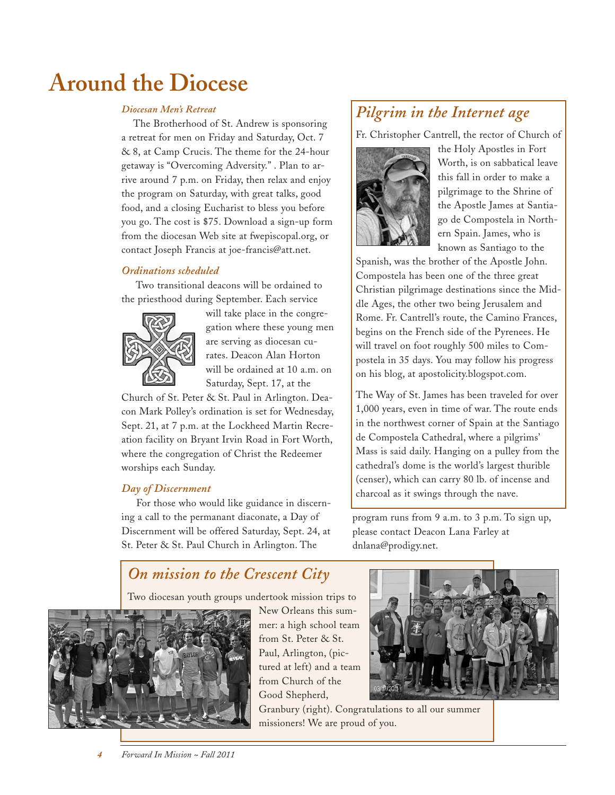# **Around the Diocese**

#### *Diocesan Men's Retreat*

The Brotherhood of St. Andrew is sponsoring a retreat for men on Friday and Saturday, Oct. 7 & 8, at Camp Crucis. The theme for the 24-hour getaway is "Overcoming Adversity." . Plan to arrive around 7 p.m. on Friday, then relax and enjoy the program on Saturday, with great talks, good food, and a closing Eucharist to bless you before you go. The cost is \$75. Download a sign-up form from the diocesan Web site at fwepiscopal.org, or contact Joseph Francis at joe-francis@att.net.

#### *Ordinations scheduled*

Two transitional deacons will be ordained to the priesthood during September. Each service



will take place in the congregation where these young men are serving as diocesan curates. Deacon Alan Horton will be ordained at 10 a.m. on Saturday, Sept. 17, at the

Church of St. Peter & St. Paul in Arlington. Deacon Mark Polley's ordination is set for Wednesday, Sept. 21, at 7 p.m. at the Lockheed Martin Recreation facility on Bryant Irvin Road in Fort Worth, where the congregation of Christ the Redeemer worships each Sunday.

#### *Day of Discernment*

For those who would like guidance in discerning a call to the permanant diaconate, a Day of Discernment will be offered Saturday, Sept. 24, at St. Peter & St. Paul Church in Arlington. The

### *Pilgrim in the Internet age*

Fr. Christopher Cantrell, the rector of Church of



the Holy Apostles in Fort Worth, is on sabbatical leave this fall in order to make a pilgrimage to the Shrine of the Apostle James at Santiago de Compostela in Northern Spain. James, who is known as Santiago to the

Spanish, was the brother of the Apostle John. Compostela has been one of the three great Christian pilgrimage destinations since the Middle Ages, the other two being Jerusalem and Rome. Fr. Cantrell's route, the Camino Frances, begins on the French side of the Pyrenees. He will travel on foot roughly 500 miles to Compostela in 35 days. You may follow his progress on his blog, at apostolicity.blogspot.com.

The Way of St. James has been traveled for over 1,000 years, even in time of war. The route ends in the northwest corner of Spain at the Santiago de Compostela Cathedral, where a pilgrims' Mass is said daily. Hanging on a pulley from the cathedral's dome is the world's largest thurible (censer), which can carry 80 lb. of incense and charcoal as it swings through the nave.

program runs from 9 a.m. to 3 p.m. To sign up, please contact Deacon Lana Farley at dnlana@prodigy.net.

### *On mission to the Crescent City*

Two diocesan youth groups undertook mission trips to



New Orleans this summer: a high school team from St. Peter & St. Paul, Arlington, (pictured at left) and a team from Church of the Good Shepherd,

Granbury (right). Congratulations to all our summer missioners! We are proud of you.

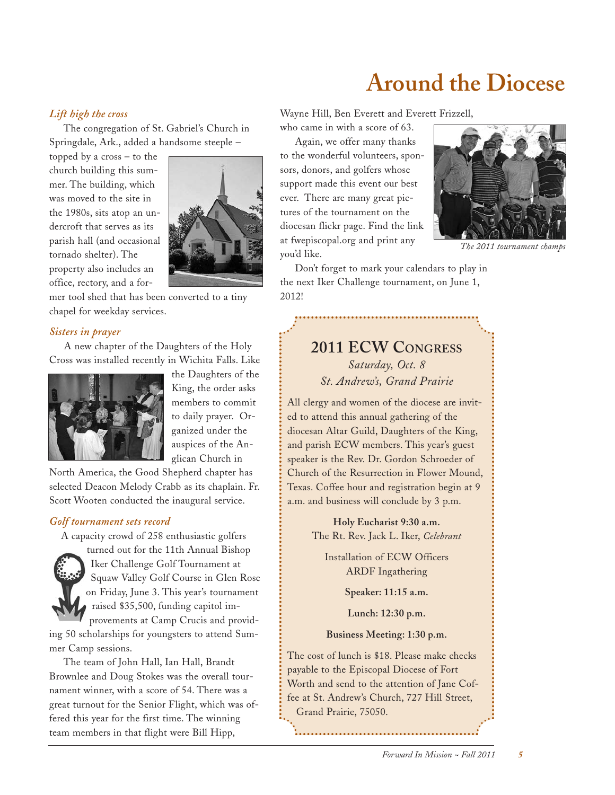# **Around the Diocese**

#### *Lift high the cross*

The congregation of St. Gabriel's Church in Springdale, Ark., added a handsome steeple –

topped by a cross – to the church building this summer. The building, which was moved to the site in the 1980s, sits atop an undercroft that serves as its parish hall (and occasional tornado shelter). The property also includes an office, rectory, and a for-



mer tool shed that has been converted to a tiny chapel for weekday services.

#### *Sisters in prayer*

A new chapter of the Daughters of the Holy Cross was installed recently in Wichita Falls. Like



the Daughters of the King, the order asks members to commit to daily prayer. Organized under the auspices of the Anglican Church in

North America, the Good Shepherd chapter has selected Deacon Melody Crabb as its chaplain. Fr. Scott Wooten conducted the inaugural service.

#### *Golf tournament sets record*

A capacity crowd of 258 enthusiastic golfers



turned out for the 11th Annual Bishop Iker Challenge Golf Tournament at Squaw Valley Golf Course in Glen Rose on Friday, June 3. This year's tournament raised \$35,500, funding capitol improvements at Camp Crucis and provid-

ing 50 scholarships for youngsters to attend Summer Camp sessions.

The team of John Hall, Ian Hall, Brandt Brownlee and Doug Stokes was the overall tournament winner, with a score of 54. There was a great turnout for the Senior Flight, which was offered this year for the first time. The winning team members in that flight were Bill Hipp,

Wayne Hill, Ben Everett and Everett Frizzell,

who came in with a score of 63.

Again, we offer many thanks to the wonderful volunteers, sponsors, donors, and golfers whose support made this event our best ever. There are many great pictures of the tournament on the diocesan flickr page. Find the link at fwepiscopal.org and print any you'd like.



*The 2011 tournament champs*

Don't forget to mark your calendars to play in the next Iker Challenge tournament, on June 1, 2012!

### **2011 ECW CONGRESS** *Saturday, Oct. 8 St. Andrew's, Grand Prairie*

All clergy and women of the diocese are invited to attend this annual gathering of the diocesan Altar Guild, Daughters of the King, and parish ECW members. This year's guest speaker is the Rev. Dr. Gordon Schroeder of Church of the Resurrection in Flower Mound, Texas. Coffee hour and registration begin at 9 a.m. and business will conclude by 3 p.m.

> **Holy Eucharist 9:30 a.m.** The Rt. Rev. Jack L. Iker, *Celebrant*

Installation of ECW Officers ARDF Ingathering

**Speaker: 11:15 a.m.**

**Lunch: 12:30 p.m.**

#### **Business Meeting: 1:30 p.m.**

The cost of lunch is \$18. Please make checks payable to the Episcopal Diocese of Fort Worth and send to the attention of Jane Coffee at St. Andrew's Church, 727 Hill Street, Grand Prairie, 75050.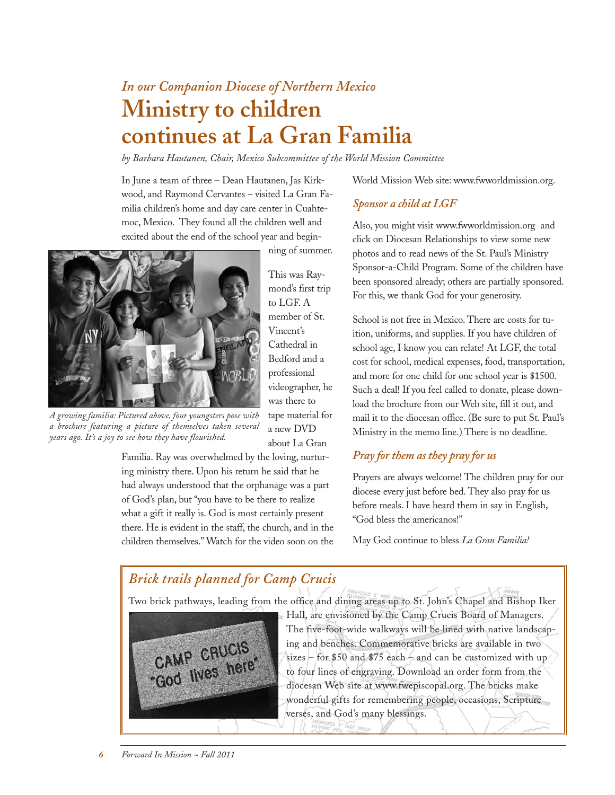## *In our Companion Diocese of Northern Mexico* **Ministry to children continues at La Gran Familia**

*by Barbara Hautanen, Chair, Mexico Subcommittee of the World Mission Committee*

In June a team of three – Dean Hautanen, Jas Kirkwood, and Raymond Cervantes – visited La Gran Familia children's home and day care center in Cuahtemoc, Mexico. They found all the children well and excited about the end of the school year and begin-

ning of summer.



*A growing familia: Pictured above, four youngsters pose with a brochure featuring a picture of themselves taken several years ago. It's a joy to see how they have flourished.*

This was Raymond's first trip to LGF. A member of St. Vincent's Cathedral in Bedford and a professional videographer, he was there to tape material for a new DVD about La Gran

Familia. Ray was overwhelmed by the loving, nurturing ministry there. Upon his return he said that he had always understood that the orphanage was a part of God's plan, but "you have to be there to realize what a gift it really is. God is most certainly present there. He is evident in the staff, the church, and in the children themselves." Watch for the video soon on the World Mission Web site: www.fwworldmission.org.

#### *Sponsor a child at LGF*

Also, you might visit www.fwworldmission.org and click on Diocesan Relationships to view some new photos and to read news of the St. Paul's Ministry Sponsor-a-Child Program. Some of the children have been sponsored already; others are partially sponsored. For this, we thank God for your generosity.

School is not free in Mexico. There are costs for tuition, uniforms, and supplies. If you have children of school age, I know you can relate! At LGF, the total cost for school, medical expenses, food, transportation, and more for one child for one school year is \$1500. Such a deal! If you feel called to donate, please download the brochure from our Web site, fill it out, and mail it to the diocesan office. (Be sure to put St. Paul's Ministry in the memo line.) There is no deadline.

#### *Pray for them as they pray for us*

Prayers are always welcome! The children pray for our diocese every just before bed. They also pray for us before meals. I have heard them in say in English, "God bless the americanos!"

May God continue to bless *La Gran Familia!*

### *Brick trails planned for Camp Crucis*

Two brick pathways, leading from the office and dining areas up to St. John's Chapel and Bishop Iker



Hall, are envisioned by the Camp Crucis Board of Managers. The five-foot-wide walkways will be lined with native landscaping and benches. Commemorative bricks are available in two sizes – for \$50 and \$75 each – and can be customized with up to four lines of engraving. Download an order form from the diocesan Web site at www.fwepiscopal.org. The bricks make wonderful gifts for remembering people, occasions, Scripture verses, and God's many blessings.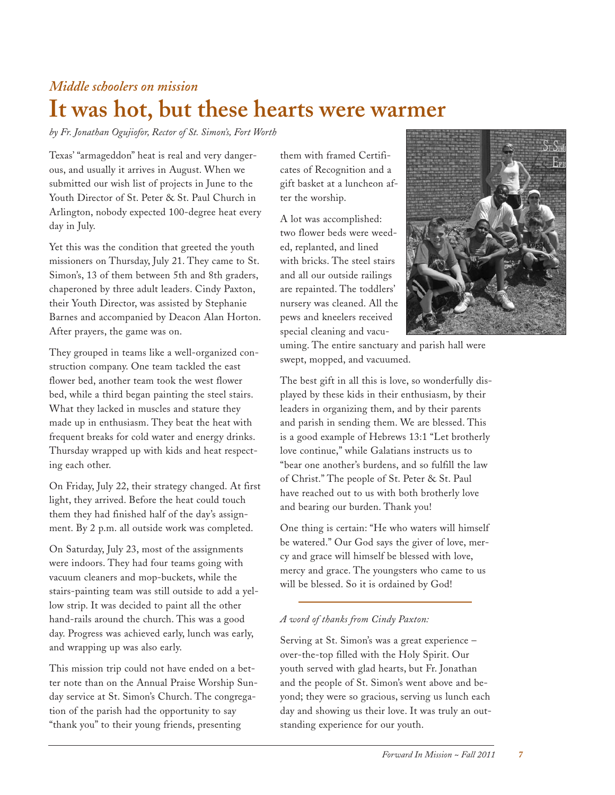### *Middle schoolers on mission* **It was hot, but these hearts were warmer**

*by Fr. Jonathan Ogujiofor, Rector of St. Simon's, Fort Worth*

Texas' "armageddon" heat is real and very dangerous, and usually it arrives in August. When we submitted our wish list of projects in June to the Youth Director of St. Peter & St. Paul Church in Arlington, nobody expected 100-degree heat every day in July.

Yet this was the condition that greeted the youth missioners on Thursday, July 21. They came to St. Simon's, 13 of them between 5th and 8th graders, chaperoned by three adult leaders. Cindy Paxton, their Youth Director, was assisted by Stephanie Barnes and accompanied by Deacon Alan Horton. After prayers, the game was on.

They grouped in teams like a well-organized construction company. One team tackled the east flower bed, another team took the west flower bed, while a third began painting the steel stairs. What they lacked in muscles and stature they made up in enthusiasm. They beat the heat with frequent breaks for cold water and energy drinks. Thursday wrapped up with kids and heat respecting each other.

On Friday, July 22, their strategy changed. At first light, they arrived. Before the heat could touch them they had finished half of the day's assignment. By 2 p.m. all outside work was completed.

On Saturday, July 23, most of the assignments were indoors. They had four teams going with vacuum cleaners and mop-buckets, while the stairs-painting team was still outside to add a yellow strip. It was decided to paint all the other hand-rails around the church. This was a good day. Progress was achieved early, lunch was early, and wrapping up was also early.

This mission trip could not have ended on a better note than on the Annual Praise Worship Sunday service at St. Simon's Church. The congregation of the parish had the opportunity to say "thank you" to their young friends, presenting

them with framed Certificates of Recognition and a gift basket at a luncheon after the worship.

A lot was accomplished: two flower beds were weeded, replanted, and lined with bricks. The steel stairs and all our outside railings are repainted. The toddlers' nursery was cleaned. All the pews and kneelers received special cleaning and vacu-



uming. The entire sanctuary and parish hall were swept, mopped, and vacuumed.

The best gift in all this is love, so wonderfully displayed by these kids in their enthusiasm, by their leaders in organizing them, and by their parents and parish in sending them. We are blessed. This is a good example of Hebrews 13:1 "Let brotherly love continue," while Galatians instructs us to "bear one another's burdens, and so fulfill the law of Christ." The people of St. Peter & St. Paul have reached out to us with both brotherly love and bearing our burden. Thank you!

One thing is certain: "He who waters will himself be watered." Our God says the giver of love, mercy and grace will himself be blessed with love, mercy and grace. The youngsters who came to us will be blessed. So it is ordained by God!

#### *A word of thanks from Cindy Paxton:*

Serving at St. Simon's was a great experience – over-the-top filled with the Holy Spirit. Our youth served with glad hearts, but Fr. Jonathan and the people of St. Simon's went above and beyond; they were so gracious, serving us lunch each day and showing us their love. It was truly an outstanding experience for our youth.